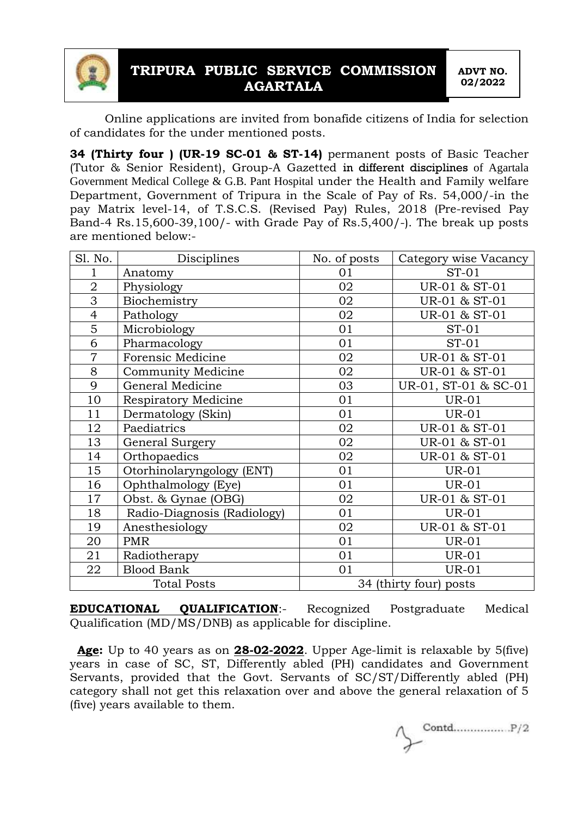

# **TRIPURA PUBLIC SERVICE COMMISSION AGARTALA**

**ADVT NO. 02/2022**

Online applications are invited from bonafide citizens of India for selection of candidates for the under mentioned posts.

**34 (Thirty four ) (UR-19 SC-01 & ST-14)** permanent posts of Basic Teacher (Tutor & Senior Resident), Group-A Gazetted in different disciplines of Agartala Government Medical College & G.B. Pant Hospital under the Health and Family welfare Department, Government of Tripura in the Scale of Pay of Rs. 54,000/-in the pay Matrix level-14, of T.S.C.S. (Revised Pay) Rules, 2018 (Pre-revised Pay Band-4 Rs.15,600-39,100/- with Grade Pay of Rs.5,400/-). The break up posts are mentioned below:-

| Sl. No.            | Disciplines                 | No. of posts           | Category wise Vacancy |
|--------------------|-----------------------------|------------------------|-----------------------|
|                    | Anatomy                     | 01                     | $ST-01$               |
| $\overline{2}$     | Physiology                  | 02                     | UR-01 & ST-01         |
| $\overline{3}$     | Biochemistry                | 02                     | UR-01 & ST-01         |
| $\overline{4}$     | Pathology                   | 02                     | UR-01 & ST-01         |
| 5                  | Microbiology                | 01                     | $ST-01$               |
| 6                  | Pharmacology                | 01                     | $ST-01$               |
| $\overline{7}$     | Forensic Medicine           | 02                     | UR-01 & ST-01         |
| 8                  | Community Medicine          | 02                     | UR-01 & ST-01         |
| 9                  | General Medicine            | 03                     | UR-01, ST-01 & SC-01  |
| 10                 | <b>Respiratory Medicine</b> | 01                     | <b>UR-01</b>          |
| 11                 | Dermatology (Skin)          | 01                     | <b>UR-01</b>          |
| 12                 | Paediatrics                 | 02                     | UR-01 & ST-01         |
| 13                 | General Surgery             | 02                     | UR-01 & ST-01         |
| 14                 | Orthopaedics                | 02                     | UR-01 & ST-01         |
| 15                 | Otorhinolaryngology (ENT)   | 01                     | <b>UR-01</b>          |
| 16                 | Ophthalmology (Eye)         | 01                     | <b>UR-01</b>          |
| 17                 | Obst. & Gynae (OBG)         | 02                     | UR-01 & ST-01         |
| 18                 | Radio-Diagnosis (Radiology) | 01                     | <b>UR-01</b>          |
| 19                 | Anesthesiology              | 02                     | UR-01 & ST-01         |
| 20                 | <b>PMR</b>                  | 01                     | <b>UR-01</b>          |
| 21                 | Radiotherapy                | 01                     | <b>UR-01</b>          |
| 22                 | <b>Blood Bank</b>           | 01                     | <b>UR-01</b>          |
| <b>Total Posts</b> |                             | 34 (thirty four) posts |                       |

**EDUCATIONAL QUALIFICATION**:- Recognized Postgraduate Medical Qualification (MD/MS/DNB) as applicable for discipline.

 **Age:** Up to 40 years as on **28-02-2022**. Upper Age-limit is relaxable by 5(five) years in case of SC, ST, Differently abled (PH) candidates and Government Servants, provided that the Govt. Servants of SC/ST/Differently abled (PH) category shall not get this relaxation over and above the general relaxation of 5 (five) years available to them.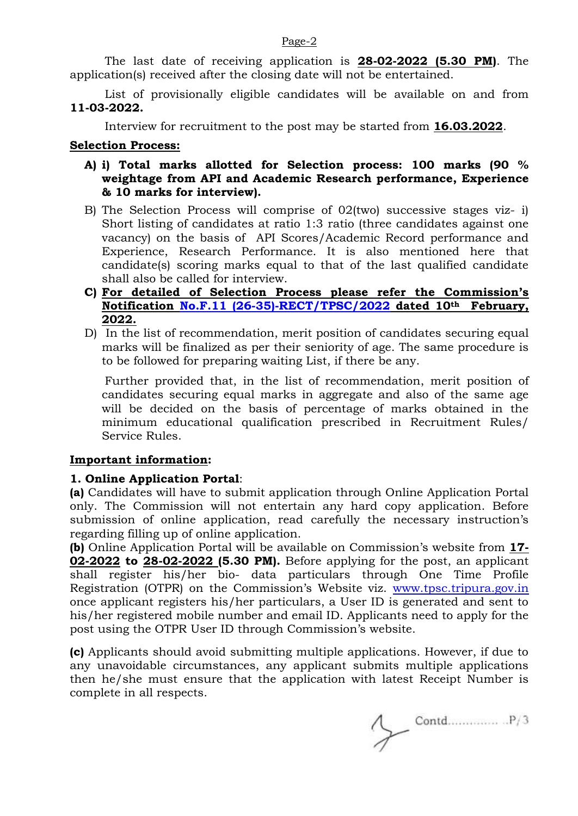The last date of receiving application is **28-02-2022 (5.30 PM)**. The

application(s) received after the closing date will not be entertained.

List of provisionally eligible candidates will be available on and from **11-03-2022.**

Interview for recruitment to the post may be started from **16.03.2022**.

### **Selection Process:**

- **A) i) Total marks allotted for Selection process: 100 marks (90 % weightage from API and Academic Research performance, Experience & 10 marks for interview).**
- B) The Selection Process will comprise of 02(two) successive stages viz- i) Short listing of candidates at ratio 1:3 ratio (three candidates against one vacancy) on the basis of API Scores/Academic Record performance and Experience, Research Performance. It is also mentioned here that candidate(s) scoring marks equal to that of the last qualified candidate shall also be called for interview.
- **C) For detailed of Selection Process please refer the Commission's Notification [No.F.11 \(26-35\)-RECT/TPSC/2022](https://tpsc.tripura.gov.in/sites/default/files/notification_10022022.pdf) dated 10th February, 2022.**
- D) In the list of recommendation, merit position of candidates securing equal marks will be finalized as per their seniority of age. The same procedure is to be followed for preparing waiting List, if there be any.

Further provided that, in the list of recommendation, merit position of candidates securing equal marks in aggregate and also of the same age will be decided on the basis of percentage of marks obtained in the minimum educational qualification prescribed in Recruitment Rules/ Service Rules.

### **Important information:**

# **1. Online Application Portal**:

**(a)** Candidates will have to submit application through Online Application Portal only. The Commission will not entertain any hard copy application. Before submission of online application, read carefully the necessary instruction's regarding filling up of online application.

**(b)** Online Application Portal will be available on Commission's website from **17- 02-2022 to 28-02-2022 (5.30 PM).** Before applying for the post, an applicant shall register his/her bio- data particulars through One Time Profile Registration (OTPR) on the Commission's Website viz. [www.tpsc.tripura.gov.in](http://www.tpsc.tripura.gov.in/) once applicant registers his/her particulars, a User ID is generated and sent to his/her registered mobile number and email ID. Applicants need to apply for the post using the OTPR User ID through Commission's website.

**(c)** Applicants should avoid submitting multiple applications. However, if due to any unavoidable circumstances, any applicant submits multiple applications then he/she must ensure that the application with latest Receipt Number is complete in all respects.

#### Page-2